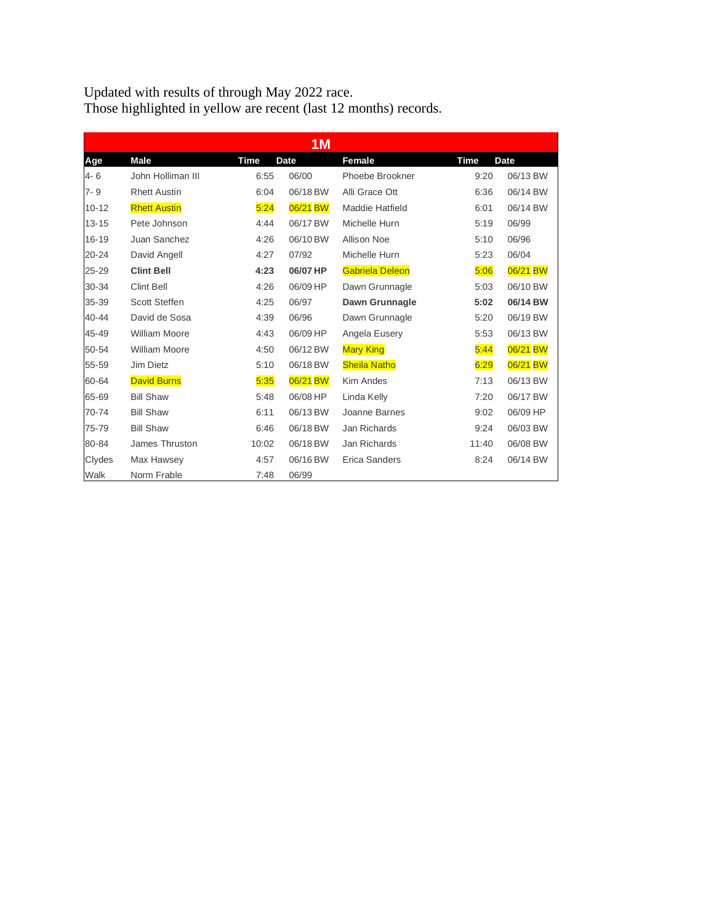Updated with results of through May 2022 race. Those highlighted in yellow are recent (last 12 months) records.

| 1 <sub>M</sub> |                      |             |             |                        |             |             |  |  |
|----------------|----------------------|-------------|-------------|------------------------|-------------|-------------|--|--|
| Age            | <b>Male</b>          | <b>Time</b> | <b>Date</b> | Female                 | <b>Time</b> | <b>Date</b> |  |  |
| 4-6            | John Holliman III    | 6:55        | 06/00       | Phoebe Brookner        | 9:20        | 06/13 BW    |  |  |
| $7 - 9$        | <b>Rhett Austin</b>  | 6:04        | 06/18 BW    | Alli Grace Ott         | 6:36        | 06/14 BW    |  |  |
| $10 - 12$      | <b>Rhett Austin</b>  | 5:24        | 06/21 BW    | Maddie Hatfield        | 6:01        | 06/14 BW    |  |  |
| $13 - 15$      | Pete Johnson         | 4:44        | 06/17 BW    | Michelle Hurn          | 5:19        | 06/99       |  |  |
| 16-19          | Juan Sanchez         | 4:26        | 06/10 BW    | <b>Allison Noe</b>     | 5:10        | 06/96       |  |  |
| 20-24          | David Angell         | 4:27        | 07/92       | Michelle Hurn          | 5:23        | 06/04       |  |  |
| 25-29          | <b>Clint Bell</b>    | 4:23        | 06/07 HP    | <b>Gabriela Deleon</b> | 5:06        | 06/21 BW    |  |  |
| 30-34          | <b>Clint Bell</b>    | 4:26        | 06/09 HP    | Dawn Grunnagle         | 5:03        | 06/10 BW    |  |  |
| 35-39          | <b>Scott Steffen</b> | 4:25        | 06/97       | Dawn Grunnagle         | 5:02        | 06/14 BW    |  |  |
| 40-44          | David de Sosa        | 4:39        | 06/96       | Dawn Grunnagle         | 5:20        | 06/19 BW    |  |  |
| 45-49          | <b>William Moore</b> | 4:43        | 06/09 HP    | Angela Eusery          | 5:53        | 06/13 BW    |  |  |
| 50-54          | <b>William Moore</b> | 4:50        | 06/12 BW    | <b>Mary King</b>       | 5:44        | 06/21 BW    |  |  |
| 55-59          | Jim Dietz            | 5:10        | 06/18 BW    | <b>Sheila Natho</b>    | 6:29        | 06/21 BW    |  |  |
| 60-64          | <b>David Burns</b>   | 5:35        | 06/21 BW    | Kim Andes              | 7:13        | 06/13 BW    |  |  |
| 65-69          | <b>Bill Shaw</b>     | 5:48        | 06/08 HP    | Linda Kelly            | 7:20        | 06/17 BW    |  |  |
| 70-74          | <b>Bill Shaw</b>     | 6:11        | 06/13 BW    | Joanne Barnes          | 9:02        | 06/09 HP    |  |  |
| 75-79          | <b>Bill Shaw</b>     | 6:46        | 06/18 BW    | Jan Richards           | 9:24        | 06/03 BW    |  |  |
| 80-84          | James Thruston       | 10:02       | 06/18 BW    | Jan Richards           | 11:40       | 06/08 BW    |  |  |
| Clydes         | Max Hawsey           | 4:57        | 06/16 BW    | Erica Sanders          | 8:24        | 06/14 BW    |  |  |
| Walk           | Norm Frable          | 7:48        | 06/99       |                        |             |             |  |  |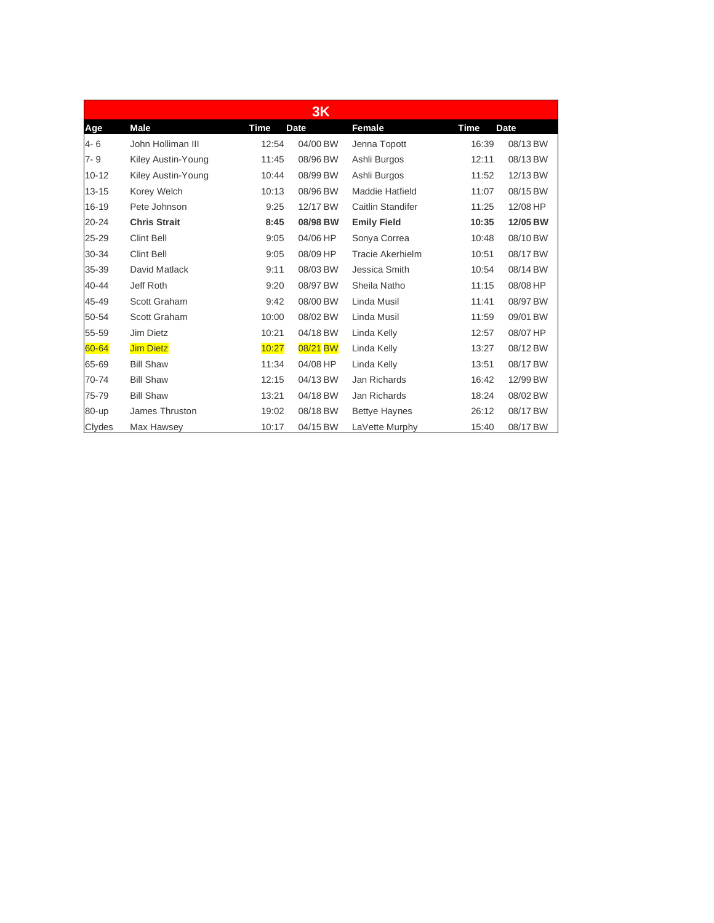|           |                     |       | <b>3K</b>   |                    |       |             |
|-----------|---------------------|-------|-------------|--------------------|-------|-------------|
| Age       | <b>Male</b>         | Time  | <b>Date</b> | Female             | Time  | <b>Date</b> |
| $4 - 6$   | John Holliman III   | 12:54 | 04/00 BW    | Jenna Topott       | 16:39 | 08/13 BW    |
| $7 - 9$   | Kiley Austin-Young  | 11:45 | 08/96 BW    | Ashli Burgos       | 12:11 | 08/13 BW    |
| $10 - 12$ | Kiley Austin-Young  | 10:44 | 08/99 BW    | Ashli Burgos       | 11:52 | 12/13 BW    |
| $13 - 15$ | Korey Welch         | 10:13 | 08/96 BW    | Maddie Hatfield    | 11:07 | 08/15 BW    |
| 16-19     | Pete Johnson        | 9:25  | 12/17 BW    | Caitlin Standifer  | 11:25 | 12/08 HP    |
| 20-24     | <b>Chris Strait</b> | 8:45  | 08/98 BW    | <b>Emily Field</b> | 10:35 | 12/05 BW    |
| 25-29     | <b>Clint Bell</b>   | 9:05  | 04/06 HP    | Sonya Correa       | 10:48 | 08/10 BW    |
| 30-34     | <b>Clint Bell</b>   | 9:05  | 08/09 HP    | Tracie Akerhielm   | 10:51 | 08/17 BW    |
| 35-39     | David Matlack       | 9:11  | 08/03 BW    | Jessica Smith      | 10:54 | 08/14 BW    |
| 40-44     | Jeff Roth           | 9:20  | 08/97 BW    | Sheila Natho       | 11:15 | 08/08 HP    |
| 45-49     | Scott Graham        | 9:42  | 08/00 BW    | Linda Musil        | 11:41 | 08/97 BW    |
| 50-54     | Scott Graham        | 10:00 | 08/02 BW    | Linda Musil        | 11:59 | 09/01 BW    |
| 55-59     | Jim Dietz           | 10:21 | 04/18 BW    | Linda Kelly        | 12:57 | 08/07 HP    |
| 60-64     | <b>Jim Dietz</b>    | 10:27 | 08/21 BW    | Linda Kelly        | 13:27 | 08/12 BW    |
| 65-69     | <b>Bill Shaw</b>    | 11:34 | 04/08 HP    | Linda Kelly        | 13:51 | 08/17 BW    |
| 70-74     | <b>Bill Shaw</b>    | 12:15 | 04/13 BW    | Jan Richards       | 16:42 | 12/99 BW    |
| 75-79     | <b>Bill Shaw</b>    | 13:21 | 04/18 BW    | Jan Richards       | 18:24 | 08/02 BW    |
| 80-up     | James Thruston      | 19:02 | 08/18 BW    | Bettye Haynes      | 26:12 | 08/17 BW    |
| Clydes    | Max Hawsey          | 10:17 | 04/15 BW    | LaVette Murphy     | 15:40 | 08/17 BW    |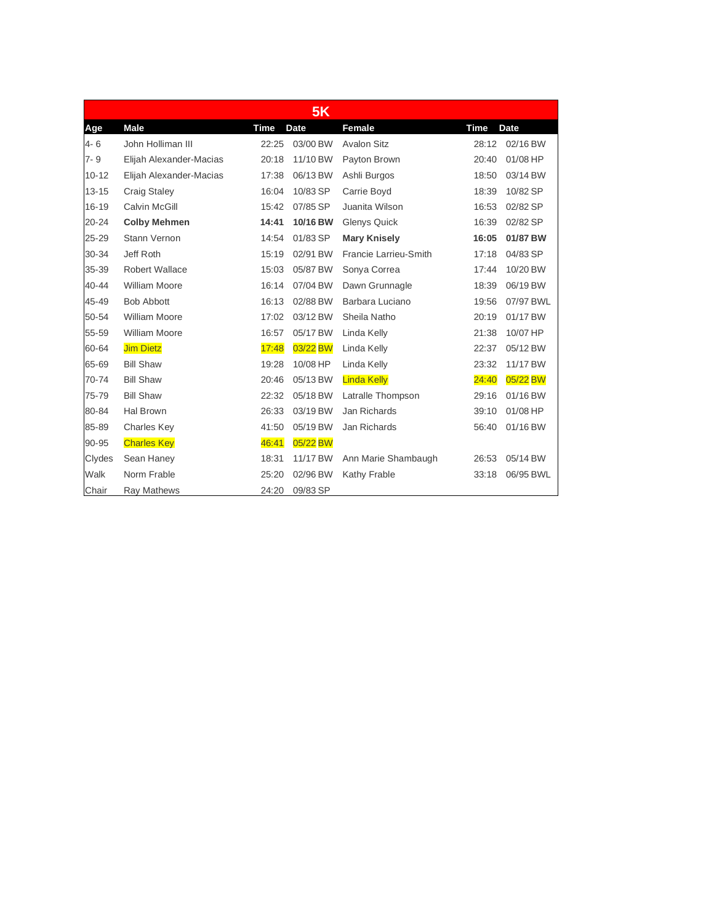|           |                         |             | <b>5K</b>   |                       |             |             |
|-----------|-------------------------|-------------|-------------|-----------------------|-------------|-------------|
| Age       | <b>Male</b>             | <b>Time</b> | <b>Date</b> | Female                | <b>Time</b> | <b>Date</b> |
| $4 - 6$   | John Holliman III       | 22:25       | 03/00 BW    | <b>Avalon Sitz</b>    | 28:12       | 02/16 BW    |
| $7 - 9$   | Elijah Alexander-Macias | 20:18       | 11/10 BW    | Payton Brown          | 20:40       | 01/08 HP    |
| $10 - 12$ | Elijah Alexander-Macias | 17:38       | 06/13 BW    | Ashli Burgos          | 18:50       | 03/14 BW    |
| $13 - 15$ | <b>Craig Staley</b>     | 16:04       | 10/83 SP    | Carrie Boyd           | 18:39       | 10/82 SP    |
| $16 - 19$ | <b>Calvin McGill</b>    | 15:42       | 07/85 SP    | Juanita Wilson        | 16:53       | 02/82 SP    |
| $20 - 24$ | <b>Colby Mehmen</b>     | 14:41       | 10/16 BW    | <b>Glenys Quick</b>   | 16:39       | 02/82 SP    |
| 25-29     | Stann Vernon            | 14:54       | 01/83 SP    | <b>Mary Knisely</b>   | 16:05       | 01/87 BW    |
| 30-34     | Jeff Roth               | 15:19       | 02/91 BW    | Francie Larrieu-Smith | 17:18       | 04/83 SP    |
| 35-39     | <b>Robert Wallace</b>   | 15:03       | 05/87 BW    | Sonya Correa          | 17:44       | 10/20 BW    |
| 40-44     | <b>William Moore</b>    | 16:14       | 07/04 BW    | Dawn Grunnagle        | 18:39       | 06/19 BW    |
| 45-49     | <b>Bob Abbott</b>       | 16:13       | 02/88 BW    | Barbara Luciano       | 19:56       | 07/97 BWL   |
| 50-54     | <b>William Moore</b>    | 17:02       | 03/12 BW    | Sheila Natho          | 20:19       | 01/17 BW    |
| 55-59     | <b>William Moore</b>    | 16:57       | 05/17 BW    | Linda Kelly           | 21:38       | 10/07 HP    |
| 60-64     | <b>Jim Dietz</b>        | 17:48       | 03/22 BW    | Linda Kelly           | 22:37       | 05/12 BW    |
| 65-69     | <b>Bill Shaw</b>        | 19:28       | 10/08 HP    | Linda Kelly           | 23:32       | 11/17 BW    |
| 70-74     | <b>Bill Shaw</b>        | 20:46       | 05/13 BW    | <b>Linda Kelly</b>    | 24:40       | 05/22 BW    |
| 75-79     | <b>Bill Shaw</b>        | 22:32       | 05/18 BW    | Latralle Thompson     | 29:16       | 01/16 BW    |
| 80-84     | Hal Brown               | 26:33       | 03/19 BW    | Jan Richards          | 39:10       | 01/08 HP    |
| 85-89     | Charles Key             | 41:50       | 05/19 BW    | Jan Richards          | 56:40       | 01/16 BW    |
| 90-95     | <b>Charles Key</b>      | 46:41       | 05/22 BW    |                       |             |             |
| Clydes    | Sean Haney              | 18:31       | 11/17 BW    | Ann Marie Shambaugh   | 26:53       | 05/14 BW    |
| Walk      | Norm Frable             | 25:20       | 02/96 BW    | Kathy Frable          | 33:18       | 06/95 BWL   |
| Chair     | Ray Mathews             | 24:20       | 09/83 SP    |                       |             |             |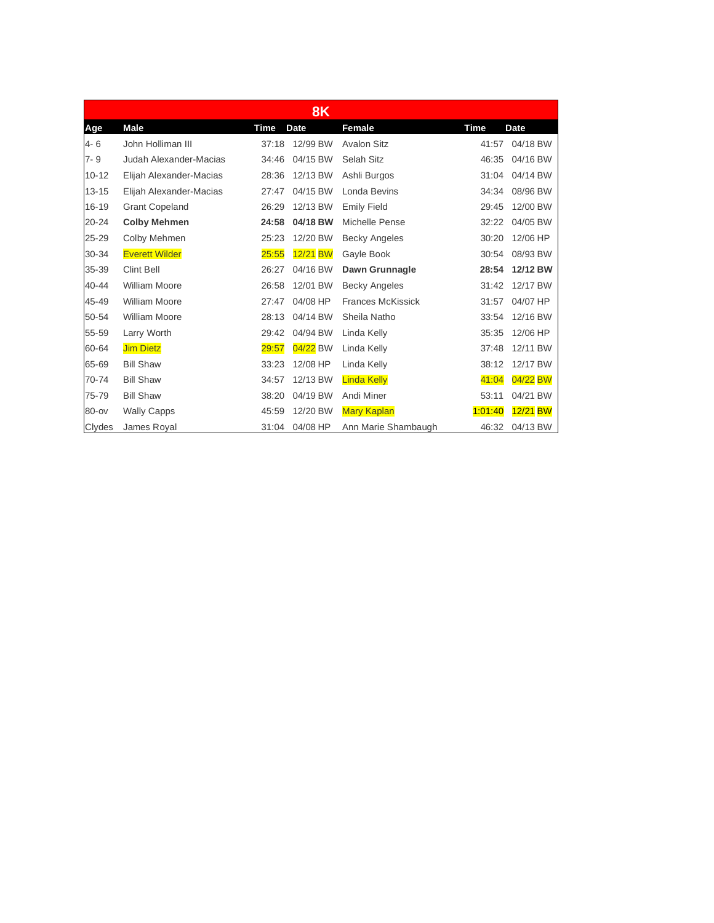| <b>8K</b> |                         |       |             |                          |             |             |  |
|-----------|-------------------------|-------|-------------|--------------------------|-------------|-------------|--|
| Age       | <b>Male</b>             | Time  | <b>Date</b> | Female                   | <b>Time</b> | <b>Date</b> |  |
| $4 - 6$   | John Holliman III       | 37:18 | 12/99 BW    | <b>Avalon Sitz</b>       | 41:57       | 04/18 BW    |  |
| $7 - 9$   | Judah Alexander-Macias  | 34:46 | 04/15 BW    | Selah Sitz               | 46:35       | 04/16 BW    |  |
| $10 - 12$ | Elijah Alexander-Macias | 28:36 | 12/13 BW    | Ashli Burgos             | 31:04       | 04/14 BW    |  |
| $13 - 15$ | Elijah Alexander-Macias | 27:47 | 04/15 BW    | Londa Bevins             | 34:34       | 08/96 BW    |  |
| 16-19     | <b>Grant Copeland</b>   | 26:29 | 12/13 BW    | <b>Emily Field</b>       | 29:45       | 12/00 BW    |  |
| 20-24     | <b>Colby Mehmen</b>     | 24:58 | 04/18 BW    | Michelle Pense           | 32:22       | 04/05 BW    |  |
| 25-29     | Colby Mehmen            | 25:23 | 12/20 BW    | <b>Becky Angeles</b>     | 30:20       | 12/06 HP    |  |
| 30-34     | <b>Everett Wilder</b>   | 25:55 | 12/21 BW    | Gayle Book               | 30:54       | 08/93 BW    |  |
| 35-39     | <b>Clint Bell</b>       | 26:27 | 04/16 BW    | Dawn Grunnagle           | 28:54       | 12/12 BW    |  |
| 40-44     | <b>William Moore</b>    | 26:58 | 12/01 BW    | <b>Becky Angeles</b>     | 31:42       | 12/17 BW    |  |
| 45-49     | <b>William Moore</b>    | 27:47 | 04/08 HP    | <b>Frances McKissick</b> | 31:57       | 04/07 HP    |  |
| 50-54     | <b>William Moore</b>    | 28:13 | 04/14 BW    | Sheila Natho             | 33:54       | 12/16 BW    |  |
| 55-59     | Larry Worth             | 29:42 | 04/94 BW    | Linda Kelly              | 35:35       | 12/06 HP    |  |
| 60-64     | <b>Jim Dietz</b>        | 29:57 | 04/22 BW    | Linda Kelly              | 37:48       | 12/11 BW    |  |
| 65-69     | <b>Bill Shaw</b>        | 33:23 | 12/08 HP    | Linda Kelly              | 38:12       | 12/17 BW    |  |
| 70-74     | <b>Bill Shaw</b>        | 34:57 | 12/13 BW    | <b>Linda Kelly</b>       | 41:04       | 04/22 BW    |  |
| 75-79     | <b>Bill Shaw</b>        | 38:20 | 04/19 BW    | Andi Miner               | 53:11       | 04/21 BW    |  |
| 80-ov     | <b>Wally Capps</b>      | 45:59 | 12/20 BW    | <b>Mary Kaplan</b>       | 1.01.40     | 12/21 BW    |  |
| Clydes    | James Royal             | 31:04 | 04/08 HP    | Ann Marie Shambaugh      | 46:32       | 04/13 BW    |  |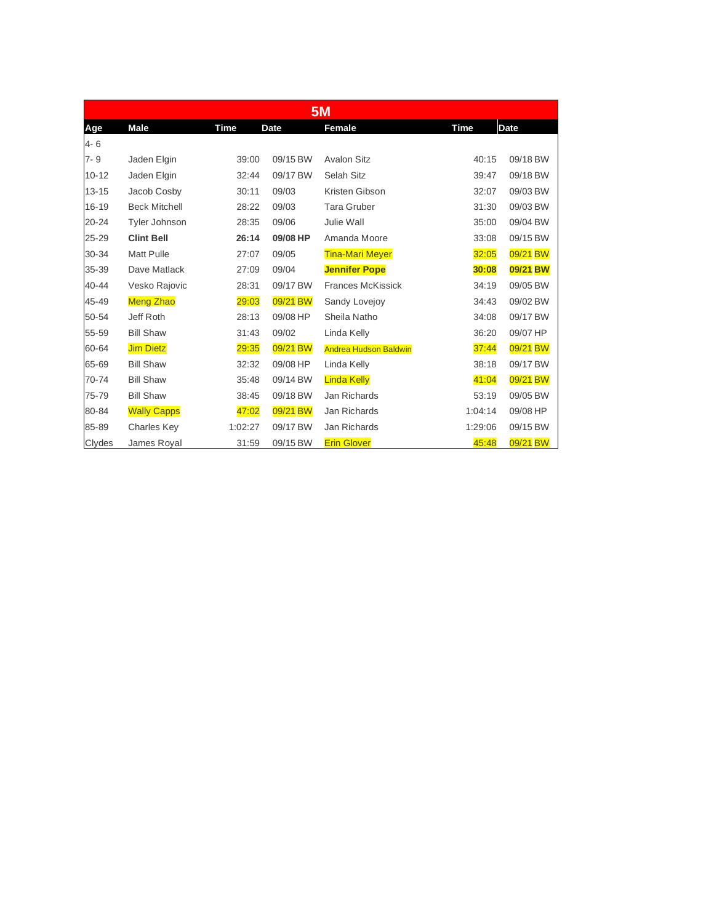| <b>5M</b> |                      |             |          |                              |             |             |  |  |
|-----------|----------------------|-------------|----------|------------------------------|-------------|-------------|--|--|
| Age       | <b>Male</b>          | <b>Time</b> | Date     | <b>Female</b>                | <b>Time</b> | <b>Date</b> |  |  |
| 4-6       |                      |             |          |                              |             |             |  |  |
| $7 - 9$   | Jaden Elgin          | 39:00       | 09/15 BW | <b>Avalon Sitz</b>           | 40:15       | 09/18 BW    |  |  |
| $10 - 12$ | Jaden Elgin          | 32:44       | 09/17 BW | Selah Sitz                   | 39:47       | 09/18 BW    |  |  |
| $13 - 15$ | Jacob Cosby          | 30:11       | 09/03    | Kristen Gibson               | 32:07       | 09/03 BW    |  |  |
| 16-19     | <b>Beck Mitchell</b> | 28:22       | 09/03    | <b>Tara Gruber</b>           | 31:30       | 09/03 BW    |  |  |
| 20-24     | <b>Tyler Johnson</b> | 28:35       | 09/06    | Julie Wall                   | 35:00       | 09/04 BW    |  |  |
| 25-29     | <b>Clint Bell</b>    | 26:14       | 09/08 HP | Amanda Moore                 | 33:08       | 09/15 BW    |  |  |
| 30-34     | <b>Matt Pulle</b>    | 27:07       | 09/05    | <b>Tina-Mari Meyer</b>       | 32:05       | 09/21 BW    |  |  |
| 35-39     | Dave Matlack         | 27:09       | 09/04    | <b>Jennifer Pope</b>         | 30:08       | 09/21 BW    |  |  |
| 40-44     | Vesko Rajovic        | 28:31       | 09/17 BW | <b>Frances McKissick</b>     | 34:19       | 09/05 BW    |  |  |
| 45-49     | <b>Meng Zhao</b>     | 29:03       | 09/21 BW | Sandy Lovejoy                | 34:43       | 09/02 BW    |  |  |
| 50-54     | Jeff Roth            | 28:13       | 09/08 HP | Sheila Natho                 | 34:08       | 09/17 BW    |  |  |
| 55-59     | <b>Bill Shaw</b>     | 31:43       | 09/02    | Linda Kelly                  | 36:20       | 09/07 HP    |  |  |
| 60-64     | <b>Jim Dietz</b>     | 29:35       | 09/21 BW | <b>Andrea Hudson Baldwin</b> | 37:44       | 09/21 BW    |  |  |
| 65-69     | <b>Bill Shaw</b>     | 32:32       | 09/08 HP | Linda Kelly                  | 38:18       | 09/17 BW    |  |  |
| 70-74     | <b>Bill Shaw</b>     | 35:48       | 09/14 BW | <b>Linda Kelly</b>           | 41:04       | 09/21 BW    |  |  |
| 75-79     | <b>Bill Shaw</b>     | 38:45       | 09/18 BW | Jan Richards                 | 53:19       | 09/05 BW    |  |  |
| 80-84     | <b>Wally Capps</b>   | 47:02       | 09/21 BW | Jan Richards                 | 1:04:14     | 09/08 HP    |  |  |
| 85-89     | <b>Charles Key</b>   | 1:02:27     | 09/17 BW | Jan Richards                 | 1:29:06     | 09/15 BW    |  |  |
| Clydes    | James Royal          | 31:59       | 09/15 BW | <b>Erin Glover</b>           | 45:48       | 09/21 BW    |  |  |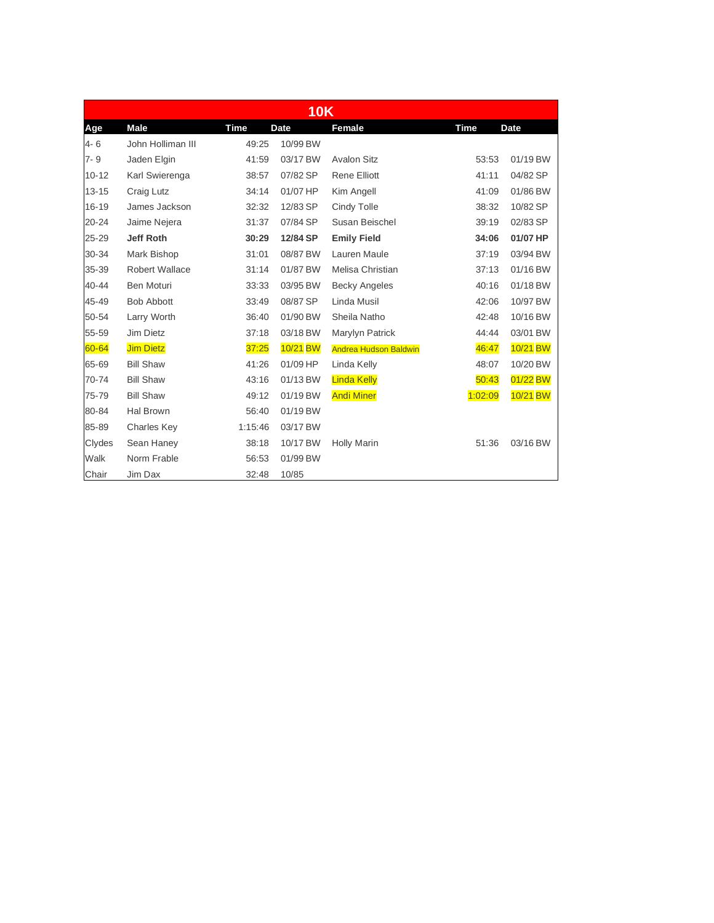|           | <b>10K</b>            |             |             |                              |             |             |  |  |  |
|-----------|-----------------------|-------------|-------------|------------------------------|-------------|-------------|--|--|--|
| Age       | <b>Male</b>           | <b>Time</b> | <b>Date</b> | Female                       | <b>Time</b> | <b>Date</b> |  |  |  |
| $4 - 6$   | John Holliman III     | 49:25       | 10/99 BW    |                              |             |             |  |  |  |
| $7 - 9$   | Jaden Elgin           | 41:59       | 03/17 BW    | <b>Avalon Sitz</b>           | 53:53       | 01/19 BW    |  |  |  |
| $10 - 12$ | Karl Swierenga        | 38:57       | 07/82 SP    | <b>Rene Elliott</b>          | 41:11       | 04/82 SP    |  |  |  |
| $13 - 15$ | Craig Lutz            | 34:14       | 01/07 HP    | Kim Angell                   | 41:09       | 01/86 BW    |  |  |  |
| $16 - 19$ | James Jackson         | 32:32       | 12/83 SP    | Cindy Tolle                  | 38:32       | 10/82 SP    |  |  |  |
| 20-24     | Jaime Nejera          | 31:37       | 07/84 SP    | Susan Beischel               | 39:19       | 02/83 SP    |  |  |  |
| 25-29     | Jeff Roth             | 30:29       | 12/84 SP    | <b>Emily Field</b>           | 34:06       | 01/07 HP    |  |  |  |
| 30-34     | Mark Bishop           | 31:01       | 08/87 BW    | Lauren Maule                 | 37:19       | 03/94 BW    |  |  |  |
| 35-39     | <b>Robert Wallace</b> | 31:14       | 01/87 BW    | Melisa Christian             | 37:13       | 01/16 BW    |  |  |  |
| 40-44     | Ben Moturi            | 33:33       | 03/95 BW    | <b>Becky Angeles</b>         | 40:16       | 01/18 BW    |  |  |  |
| 45-49     | <b>Bob Abbott</b>     | 33:49       | 08/87 SP    | Linda Musil                  | 42:06       | 10/97 BW    |  |  |  |
| 50-54     | Larry Worth           | 36:40       | 01/90 BW    | Sheila Natho                 | 42:48       | 10/16 BW    |  |  |  |
| 55-59     | Jim Dietz             | 37:18       | 03/18 BW    | Marylyn Patrick              | 44:44       | 03/01 BW    |  |  |  |
| 60-64     | <b>Jim Dietz</b>      | 37:25       | 10/21 BW    | <b>Andrea Hudson Baldwin</b> | 46:47       | 10/21 BW    |  |  |  |
| 65-69     | <b>Bill Shaw</b>      | 41:26       | 01/09 HP    | Linda Kelly                  | 48:07       | 10/20 BW    |  |  |  |
| 70-74     | <b>Bill Shaw</b>      | 43:16       | 01/13 BW    | <b>Linda Kelly</b>           | 50:43       | 01/22 BW    |  |  |  |
| 75-79     | <b>Bill Shaw</b>      | 49:12       | 01/19 BW    | <b>Andi Miner</b>            | 1:02:09     | 10/21 BW    |  |  |  |
| 80-84     | Hal Brown             | 56:40       | 01/19 BW    |                              |             |             |  |  |  |
| 85-89     | <b>Charles Key</b>    | 1:15:46     | 03/17 BW    |                              |             |             |  |  |  |
| Clydes    | Sean Haney            | 38:18       | 10/17 BW    | <b>Holly Marin</b>           | 51:36       | 03/16 BW    |  |  |  |
| Walk      | Norm Frable           | 56:53       | 01/99 BW    |                              |             |             |  |  |  |
| Chair     | Jim Dax               | 32:48       | 10/85       |                              |             |             |  |  |  |